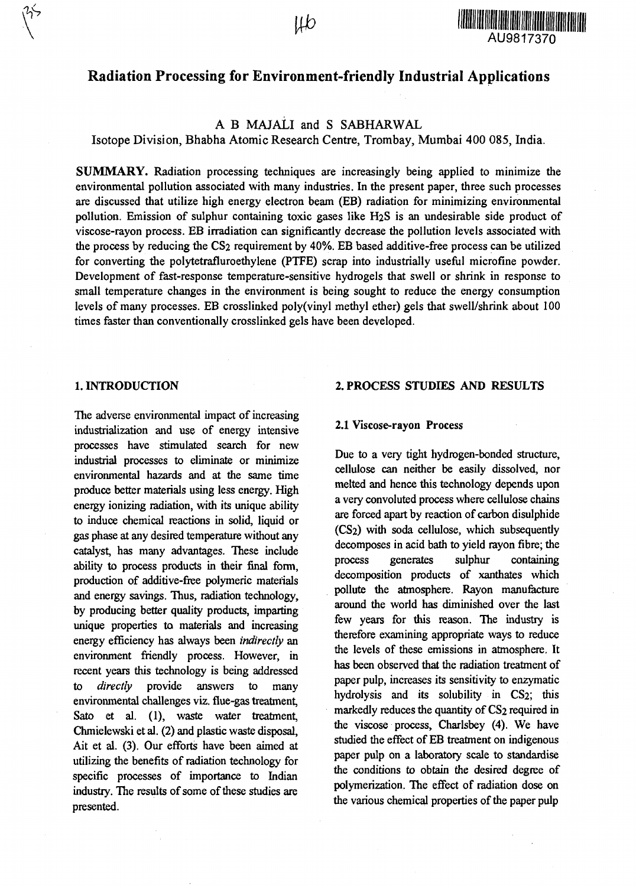

# Radiation Processing for Environment-friendly Industrial Applications

# A B MAJALI and S SABHARWAL

Isotope Division, Bhabha Atomic Research Centre, Trombay, Mumbai 400 085, India.

**SUMMARY.** Radiation processing techniques are increasingly being applied to minimize the environmental pollution associated with many industries. In the present paper, three such processes are discussed that utilize high energy electron beam (EB) radiation for minimizing environmental pollution. Emission of sulphur containing toxic gases like H2S is an undesirable side product of viscose-rayon process. EB irradiation can significantly decrease the pollution levels associated with the process by reducing the CS2 requirement by 40%. EB based additive-free process can be utilized for converting the polytetrafluroethylene (PTFE) scrap into industrially useful microfine powder. Development of fast-response temperature-sensitive hydrogels that swell or shrink in response to small temperature changes in the environment is being sought to reduce the energy consumption levels of many processes. EB crosslinked poly(vinyl methyl ether) gels that swell/shrink about 100 times faster than conventionally crosslinked gels have been developed.

### **1. INTRODUCTION**

The adverse environmental impact of increasing industrialization and use of energy intensive processes have stimulated search for new industrial processes to eliminate or minimize environmental hazards and at the same time produce better materials using less energy. High energy ionizing radiation, with its unique ability to induce chemical reactions in solid, liquid or gas phase at any desired temperature without any catalyst, has many advantages. These include ability to process products in their final form, production of additive-free polymeric materials and energy savings. Thus, radiation technology, by producing better quality products, imparting unique properties to materials and increasing energy efficiency has always been *indirectly* an environment friendly process. However, in recent years this technology is being addressed to *directly* provide answers to many environmental challenges viz. flue-gas treatment, Sato et al. (1), waste water treatment, Chmielewski et al. (2) and plastic waste disposal, Ait et al. (3). Our efforts have been aimed at utilizing the benefits of radiation technology for specific processes of importance to Indian industry. The results of some of these studies are presented.

### **2. PROCESS STUDIES AND RESULTS**

### **2.1** Viscose-rayon Process

Due to a very tight hydrogen-bonded structure, cellulose can neither be easily dissolved, nor melted and hence this technology depends upon a very convoluted process where cellulose chains are forced apart by reaction of carbon disulphide (CS2) with soda cellulose, which subsequently decomposes in acid bath to yield rayon fibre; the process generates sulphur containing decomposition products of xanthates which pollute the atmosphere. Rayon manufacture around the world has diminished over the last few years for this reason. The industry is therefore examining appropriate ways to reduce the levels of these emissions in atmosphere. It has been observed that the radiation treatment of paper pulp, increases its sensitivity to enzymatic hydrolysis and its solubility in CS2; this markedly reduces the quantity of CS<sub>2</sub> required in the viscose process, Charlsbey (4). We have studied the effect of EB treatment on indigenous paper pulp on a laboratory scale to standardise the conditions to obtain the desired degree of polymerization. The effect of radiation dose on the various chemical properties of the paper pulp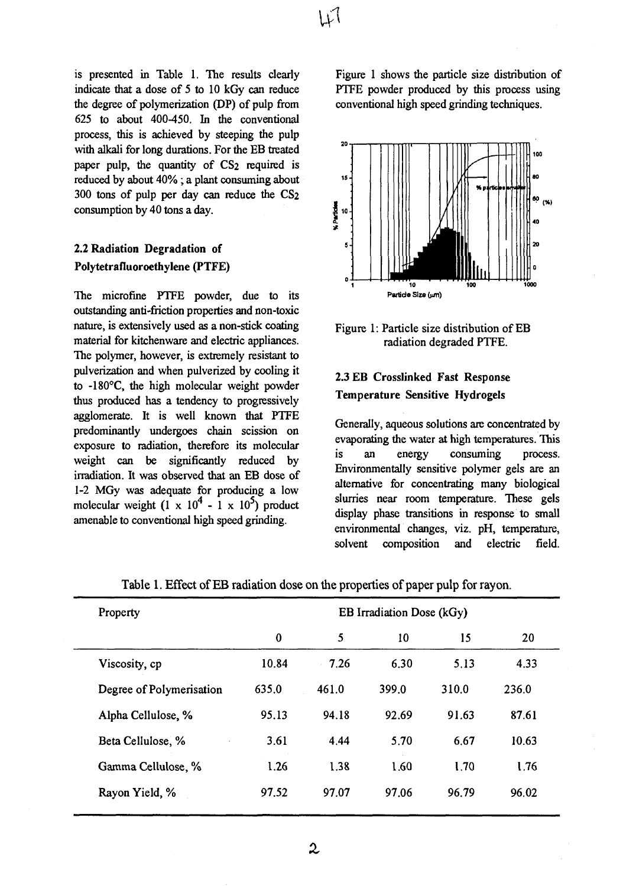is presented in Table 1. The results clearly indicate that a dose of 5 to 10 kGy can reduce the degree of polymerization (DP) of pulp from 625 to about 400-450. In the conventional process, this is achieved by steeping the pulp with alkali for long durations. For the EB treated paper pulp, the quantity of CS2 required is reduced by about 40% ; **a** plant consuming about 300 tons of pulp per day can reduce the CS2 consumption by 40 tons a day.

# **2.2 Radiation Degradation of Polytetrafluoroethylene (PTFE)**

The microfine PTFE powder, due to its outstanding anti-friction properties and non-toxic nature, is extensively used as a non-stick coating material for kitchenware and electric appliances. The polymer, however, is extremely resistant to pulverization and when pulverized by cooling it to -180°C, the high molecular weight powder thus produced has a tendency to progressively agglomerate. It is well known that PTFE predominantly undergoes chain scission on exposure to radiation, therefore its molecular weight can be significantly reduced by irradiation. It was observed that an EB dose of 1-2 MGy was adequate for producing a low molecular weight  $(1 \times 10^4 - 1 \times 10^5)$  product amenable to conventional high speed grinding.

Figure 1 shows the particle size distribution of PTFE powder produced by this process using conventional high speed grinding techniques.



Figure 1: Particle size distribution of EB radiation degraded PTFE.

# 2.3 EB Crosslinked Fast Response Temperature Sensitive Hydrogels

Generally, aqueous solutions are concentrated by evaporating the water at high temperatures. This is an energy consuming process. Environmentally sensitive polymer gels are an alternative for concentrating many biological slurries near room temperature. These gels display phase transitions in response to small environmental changes, viz. pH, temperature, solvent composition and electric field.

| Property                 | EB Irradiation Dose (kGy) |       |       |       |       |
|--------------------------|---------------------------|-------|-------|-------|-------|
|                          | $\bf{0}$                  | 5     | 10    | 15    | 20    |
| Viscosity, cp            | 10.84                     | 7.26  | 6.30  | 5.13  | 4.33  |
| Degree of Polymerisation | 635.0                     | 461.0 | 399.0 | 310.0 | 236.0 |
| Alpha Cellulose, %       | 95.13                     | 94.18 | 92.69 | 91.63 | 87.61 |
| Beta Cellulose, %        | 3.61                      | 4.44  | 5.70  | 6.67  | 10.63 |
| Gamma Cellulose, %       | 1.26                      | 1.38  | 1.60  | 1.70  | 1.76  |
| Rayon Yield, %           | 97.52                     | 97.07 | 97.06 | 96.79 | 96.02 |

Table 1. Effect of EB radiation dose on the properties of paper pulp for rayon.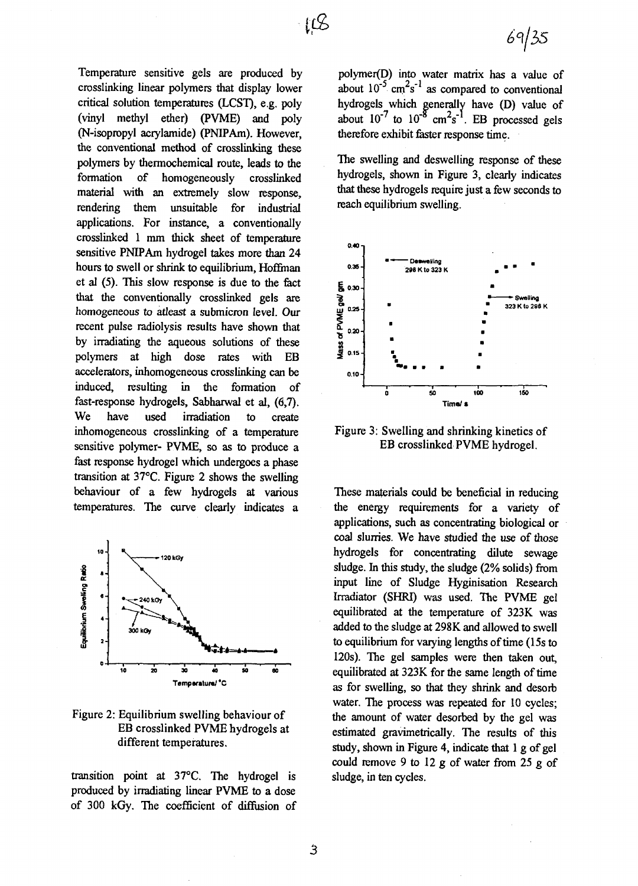Temperature sensitive gels are produced by crosslinking linear polymers that display lower critical solution temperatures (LCST), e.g. poly (vinyl methyl ether) (PVME) and poly (N-isopropyl acrylamide) (PNIPAm). However, the conventional method of crosslinking these polymers by thermochemical route, leads to the formation of homogeneously crosslinked material with an extremely slow response, rendering them unsuitable for industrial applications. For instance, a conventionally crosslinked 1 mm thick sheet of temperature sensitive PNIPAm hydrogel takes more than 24 hours to swell or shrink to equilibrium, Hoffman et al (5). This slow response is due to the fact that the conventionally crosslinked gels are homogeneous to atleast a submicron level. Our recent pulse radiolysis results have shown that by irradiating the aqueous solutions of these polymers at high dose rates with EB accelerators, inhomogeneous crosslinking can be induced, resulting in the formation of fast-response hydrogels, Sabharwal et al, (6,7). We have used irradiation to create inhomogeneous crosslinking of a temperature sensitive polymer- PVME, so as to produce a fast response hydrogel which undergoes a phase transition at 37°C. Figure 2 shows the swelling behaviour of a few hydrogels at various temperatures. The curve clearly indicates a



## Figure 2: Equilibrium swelling behaviour of EB crosslinked PVME hydrogels at different temperatures.

transition point at 37°C. The hydrogel is produced by irradiating linear PVME to a dose of 300 kGy. The coefficient of diffusion of

polymer(D) into water matrix has a value of about  $10^{-5}$  cm<sup>2</sup>s<sup>-1</sup> as compared to conventional hydrogels which generally have (D) value of about  $10^{-7}$  to  $10^{-8}$  cm<sup>2</sup>s<sup>-1</sup>. EB processed gels therefore exhibit faster response time.

The swelling and deswelling response of these hydrogels, shown in Figure 3, clearly indicates that these hydrogels require just a few seconds to reach equilibrium swelling.



Figure 3: Swelling and shrinking kinetics of EB crosslinked PVME hydrogel.

These materials could be beneficial in reducing the energy requirements for a variety of applications, such as concentrating biological or coal slurries. We have studied the use of those hydrogels for concentrating dilute sewage sludge. In this study, the sludge  $(2\% \text{ solids})$  from input line of Sludge Hyginisation Research Irradiator (SHRI) was used. The PVME gel equilibrated at the temperature of 323K was added to the sludge at 298K and allowed to swell to equilibrium for varying lengths of time (15s to 120s). The gel samples were then taken out, equilibrated at 323K for the same length of time as for swelling, so that they shrink and desorb water. The process was repeated for 10 cycles; the amount of water desorbed by the gel was estimated gravimetrically. The results of this study, shown in Figure 4, indicate that 1 g of gel could remove 9 to 12  $g$  of water from 25  $g$  of sludge, in ten cycles.